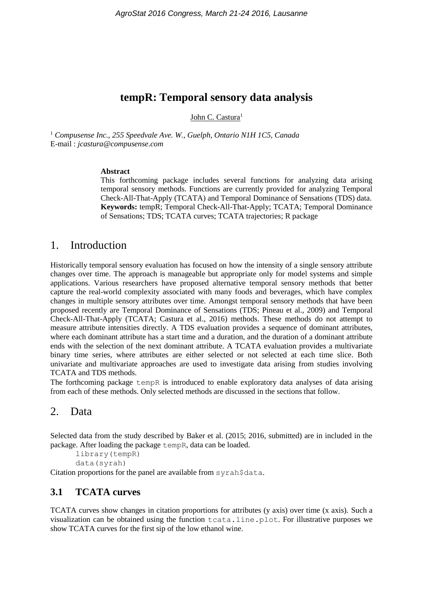# **tempR: Temporal sensory data analysis**

John C. Castura<sup>1</sup>

<sup>1</sup> *Compusense Inc., 255 Speedvale Ave. W., Guelph, Ontario N1H 1C5, Canada* E-mail : *jcastura@compusense.com*

#### **Abstract**

This forthcoming package includes several functions for analyzing data arising temporal sensory methods. Functions are currently provided for analyzing Temporal Check-All-That-Apply (TCATA) and Temporal Dominance of Sensations (TDS) data. **Keywords:** tempR; Temporal Check-All-That-Apply; TCATA; Temporal Dominance of Sensations; TDS; TCATA curves; TCATA trajectories; R package

### 1. Introduction

Historically temporal sensory evaluation has focused on how the intensity of a single sensory attribute changes over time. The approach is manageable but appropriate only for model systems and simple applications. Various researchers have proposed alternative temporal sensory methods that better capture the real-world complexity associated with many foods and beverages, which have complex changes in multiple sensory attributes over time. Amongst temporal sensory methods that have been proposed recently are Temporal Dominance of Sensations (TDS; Pineau et al., 2009) and Temporal Check-All-That-Apply (TCATA; Castura et al., 2016) methods. These methods do not attempt to measure attribute intensities directly. A TDS evaluation provides a sequence of dominant attributes, where each dominant attribute has a start time and a duration, and the duration of a dominant attribute ends with the selection of the next dominant attribute. A TCATA evaluation provides a multivariate binary time series, where attributes are either selected or not selected at each time slice. Both univariate and multivariate approaches are used to investigate data arising from studies involving TCATA and TDS methods.

The forthcoming package tempR is introduced to enable exploratory data analyses of data arising from each of these methods. Only selected methods are discussed in the sections that follow.

### 2. Data

Selected data from the study described by Baker et al. (2015; 2016, submitted) are in included in the package. After loading the package tempR, data can be loaded.

library(tempR)

data(syrah)

Citation proportions for the panel are available from syrah\$data.

### **3.1 TCATA curves**

TCATA curves show changes in citation proportions for attributes (y axis) over time (x axis). Such a visualization can be obtained using the function tcata.line.plot. For illustrative purposes we show TCATA curves for the first sip of the low ethanol wine.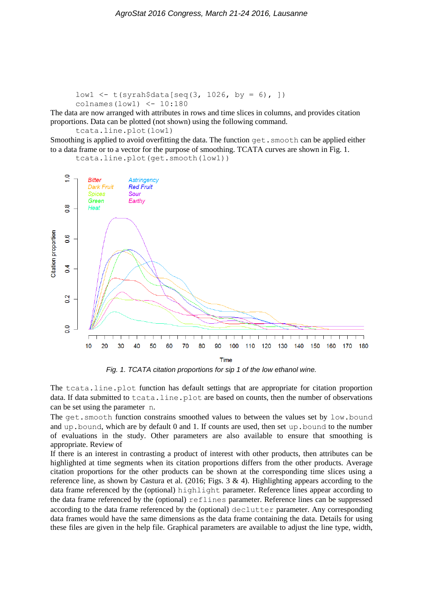```
low1 \le - \t{tyrah}\xi data[seq(3, 1026, by = 6), ]colnames(low1) <- 10:180
```
The data are now arranged with attributes in rows and time slices in columns, and provides citation proportions. Data can be plotted (not shown) using the following command.

```
tcata.line.plot(low1)
```
Smoothing is applied to avoid overfitting the data. The function get. smooth can be applied either to a data frame or to a vector for the purpose of smoothing. TCATA curves are shown in Fig. 1.

```
tcata.line.plot(get.smooth(low1))
```


*Fig. 1. TCATA citation proportions for sip 1 of the low ethanol wine.*

The tcata.line.plot function has default settings that are appropriate for citation proportion data. If data submitted to tcata.line.plot are based on counts, then the number of observations can be set using the parameter n.

The get.smooth function constrains smoothed values to between the values set by low.bound and up.bound, which are by default 0 and 1. If counts are used, then set up.bound to the number of evaluations in the study. Other parameters are also available to ensure that smoothing is appropriate. Review of

If there is an interest in contrasting a product of interest with other products, then attributes can be highlighted at time segments when its citation proportions differs from the other products. Average citation proportions for the other products can be shown at the corresponding time slices using a reference line, as shown by Castura et al. (2016; Figs. 3 & 4). Highlighting appears according to the data frame referenced by the (optional) highlight parameter. Reference lines appear according to the data frame referenced by the (optional) reflines parameter. Reference lines can be suppressed according to the data frame referenced by the (optional) declutter parameter. Any corresponding data frames would have the same dimensions as the data frame containing the data. Details for using these files are given in the help file. Graphical parameters are available to adjust the line type, width,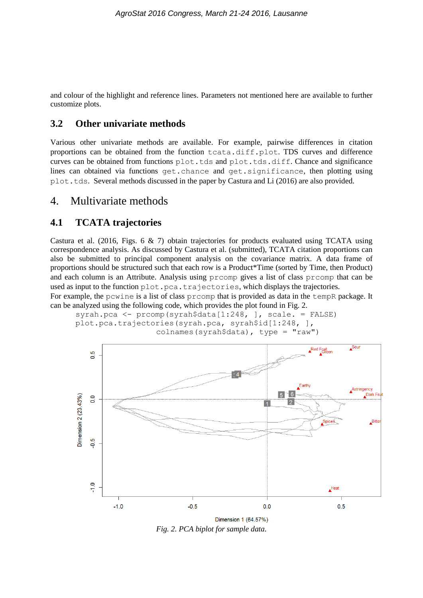and colour of the highlight and reference lines. Parameters not mentioned here are available to further customize plots.

### **3.2 Other univariate methods**

Various other univariate methods are available. For example, pairwise differences in citation proportions can be obtained from the function tcata.diff.plot. TDS curves and difference curves can be obtained from functions plot.tds and plot.tds.diff. Chance and significance lines can obtained via functions get.chance and get.significance, then plotting using plot.tds. Several methods discussed in the paper by Castura and Li (2016) are also provided.

### 4. Multivariate methods

#### **4.1 TCATA trajectories**

Castura et al. (2016, Figs. 6  $\&$  7) obtain trajectories for products evaluated using TCATA using correspondence analysis. As discussed by Castura et al. (submitted), TCATA citation proportions can also be submitted to principal component analysis on the covariance matrix. A data frame of proportions should be structured such that each row is a Product\*Time (sorted by Time, then Product) and each column is an Attribute. Analysis using prcomp gives a list of class prcomp that can be used as input to the function plot.pca.trajectories, which displays the trajectories.

For example, the pcwine is a list of class prcomp that is provided as data in the tempR package. It can be analyzed using the following code, which provides the plot found in Fig. 2.

syrah.pca <- prcomp(syrah\$data[1:248, ], scale. = FALSE) plot.pca.trajectories(syrah.pca, syrah\$id[1:248, ], colnames(syrah\$data), type = "raw")



*Fig. 2. PCA biplot for sample data.*